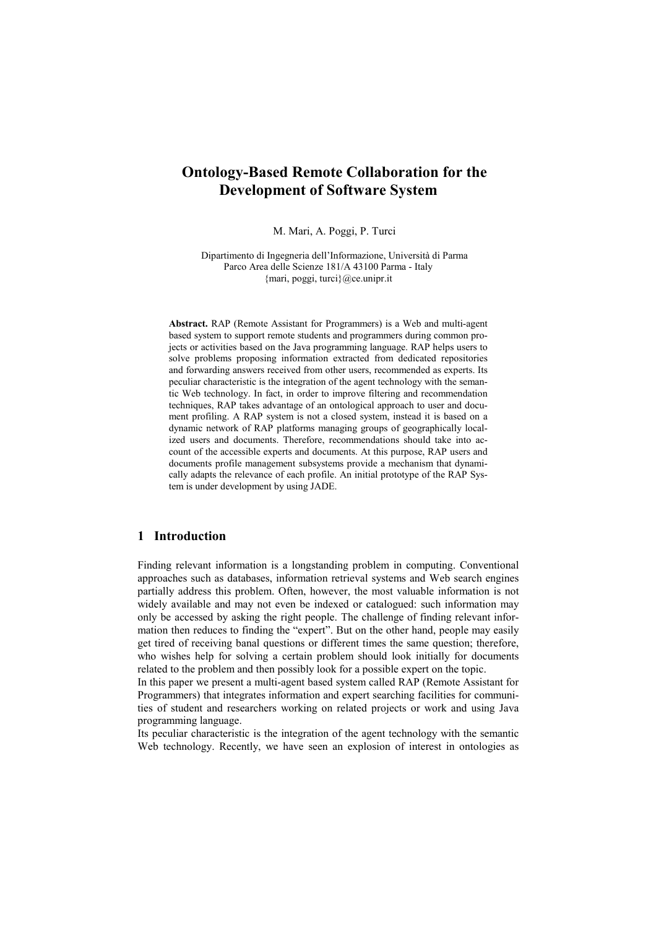# **Ontology-Based Remote Collaboration for the Development of Software System**

M. Mari, A. Poggi, P. Turci

Dipartimento di Ingegneria dell'Informazione, Università di Parma Parco Area delle Scienze 181/A 43100 Parma - Italy {mari, poggi, turci}@ce.unipr.it

**Abstract.** RAP (Remote Assistant for Programmers) is a Web and multi-agent based system to support remote students and programmers during common projects or activities based on the Java programming language. RAP helps users to solve problems proposing information extracted from dedicated repositories and forwarding answers received from other users, recommended as experts. Its peculiar characteristic is the integration of the agent technology with the semantic Web technology. In fact, in order to improve filtering and recommendation techniques, RAP takes advantage of an ontological approach to user and document profiling. A RAP system is not a closed system, instead it is based on a dynamic network of RAP platforms managing groups of geographically localized users and documents. Therefore, recommendations should take into account of the accessible experts and documents. At this purpose, RAP users and documents profile management subsystems provide a mechanism that dynamically adapts the relevance of each profile. An initial prototype of the RAP System is under development by using JADE.

# **1 Introduction**

Finding relevant information is a longstanding problem in computing. Conventional approaches such as databases, information retrieval systems and Web search engines partially address this problem. Often, however, the most valuable information is not widely available and may not even be indexed or catalogued: such information may only be accessed by asking the right people. The challenge of finding relevant information then reduces to finding the "expert". But on the other hand, people may easily get tired of receiving banal questions or different times the same question; therefore, who wishes help for solving a certain problem should look initially for documents related to the problem and then possibly look for a possible expert on the topic.

In this paper we present a multi-agent based system called RAP (Remote Assistant for Programmers) that integrates information and expert searching facilities for communities of student and researchers working on related projects or work and using Java programming language.

Its peculiar characteristic is the integration of the agent technology with the semantic Web technology. Recently, we have seen an explosion of interest in ontologies as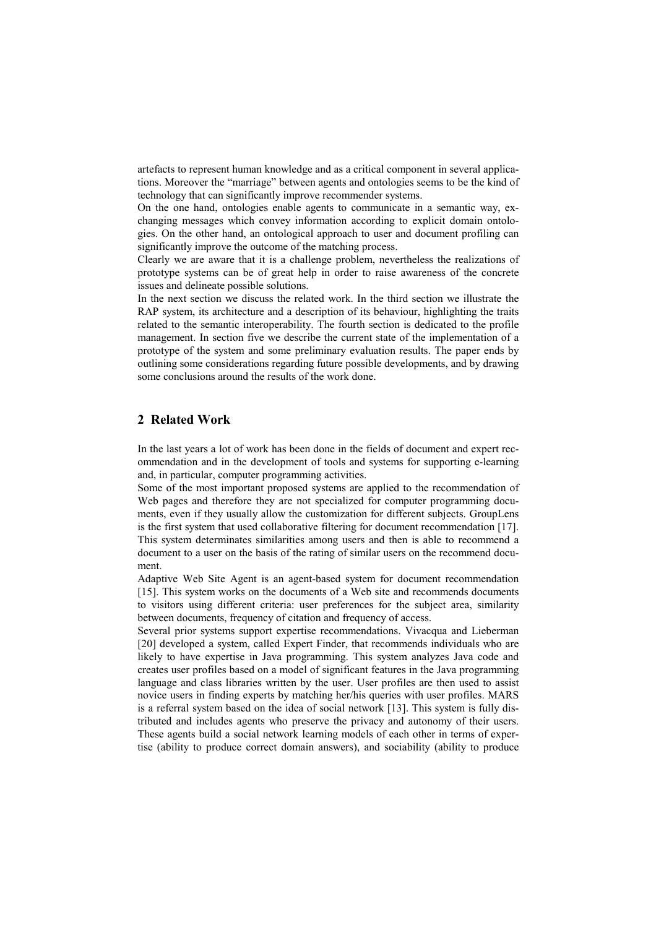artefacts to represent human knowledge and as a critical component in several applications. Moreover the "marriage" between agents and ontologies seems to be the kind of technology that can significantly improve recommender systems.

On the one hand, ontologies enable agents to communicate in a semantic way, exchanging messages which convey information according to explicit domain ontologies. On the other hand, an ontological approach to user and document profiling can significantly improve the outcome of the matching process.

Clearly we are aware that it is a challenge problem, nevertheless the realizations of prototype systems can be of great help in order to raise awareness of the concrete issues and delineate possible solutions.

In the next section we discuss the related work. In the third section we illustrate the RAP system, its architecture and a description of its behaviour, highlighting the traits related to the semantic interoperability. The fourth section is dedicated to the profile management. In section five we describe the current state of the implementation of a prototype of the system and some preliminary evaluation results. The paper ends by outlining some considerations regarding future possible developments, and by drawing some conclusions around the results of the work done.

# **2 Related Work**

In the last years a lot of work has been done in the fields of document and expert recommendation and in the development of tools and systems for supporting e-learning and, in particular, computer programming activities.

Some of the most important proposed systems are applied to the recommendation of Web pages and therefore they are not specialized for computer programming documents, even if they usually allow the customization for different subjects. GroupLens is the first system that used collaborative filtering for document recommendation [\[17\]](#page-15-0). This system determinates similarities among users and then is able to recommend a document to a user on the basis of the rating of similar users on the recommend document.

Adaptive Web Site Agent is an agent-based system for document recommendation [\[15\]](#page-15-0). This system works on the documents of a Web site and recommends documents to visitors using different criteria: user preferences for the subject area, similarity between documents, frequency of citation and frequency of access.

Several prior systems support expertise recommendations. Vivacqua and Lieberman [\[20\]](#page-15-0) developed a system, called Expert Finder, that recommends individuals who are likely to have expertise in Java programming. This system analyzes Java code and creates user profiles based on a model of significant features in the Java programming language and class libraries written by the user. User profiles are then used to assist novice users in finding experts by matching her/his queries with user profiles. MARS is a referral system based on the idea of social network [[13\]](#page-15-0). This system is fully distributed and includes agents who preserve the privacy and autonomy of their users. These agents build a social network learning models of each other in terms of expertise (ability to produce correct domain answers), and sociability (ability to produce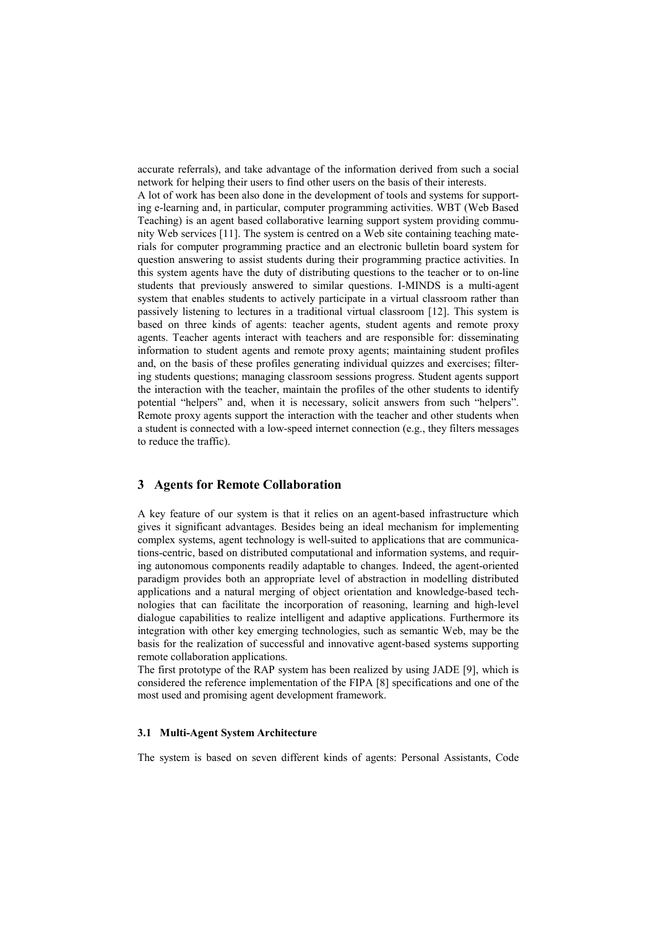accurate referrals), and take advantage of the information derived from such a social network for helping their users to find other users on the basis of their interests.

A lot of work has been also done in the development of tools and systems for supporting e-learning and, in particular, computer programming activities. WBT (Web Based Teaching) is an agent based collaborative learning support system providing community Web services [[11\]](#page-15-0). The system is centred on a Web site containing teaching materials for computer programming practice and an electronic bulletin board system for question answering to assist students during their programming practice activities. In this system agents have the duty of distributing questions to the teacher or to on-line students that previously answered to similar questions. I-MINDS is a multi-agent system that enables students to actively participate in a virtual classroom rather than passively listening to lectures in a traditional virtual classroom [[12\]](#page-15-0). This system is based on three kinds of agents: teacher agents, student agents and remote proxy agents. Teacher agents interact with teachers and are responsible for: disseminating information to student agents and remote proxy agents; maintaining student profiles and, on the basis of these profiles generating individual quizzes and exercises; filtering students questions; managing classroom sessions progress. Student agents support the interaction with the teacher, maintain the profiles of the other students to identify potential "helpers" and, when it is necessary, solicit answers from such "helpers". Remote proxy agents support the interaction with the teacher and other students when a student is connected with a low-speed internet connection (e.g., they filters messages to reduce the traffic).

## **3 Agents for Remote Collaboration**

A key feature of our system is that it relies on an agent-based infrastructure which gives it significant advantages. Besides being an ideal mechanism for implementing complex systems, agent technology is well-suited to applications that are communications-centric, based on distributed computational and information systems, and requiring autonomous components readily adaptable to changes. Indeed, the agent-oriented paradigm provides both an appropriate level of abstraction in modelling distributed applications and a natural merging of object orientation and knowledge-based technologies that can facilitate the incorporation of reasoning, learning and high-level dialogue capabilities to realize intelligent and adaptive applications. Furthermore its integration with other key emerging technologies, such as semantic Web, may be the basis for the realization of successful and innovative agent-based systems supporting remote collaboration applications.

The first prototype of the RAP system has been realized by using JADE [\[9](#page-15-0)], which is considered the reference implementation of the FIPA [\[8\]](#page-15-0) specifications and one of the most used and promising agent development framework.

### **3.1 Multi-Agent System Architecture**

The system is based on seven different kinds of agents: Personal Assistants, Code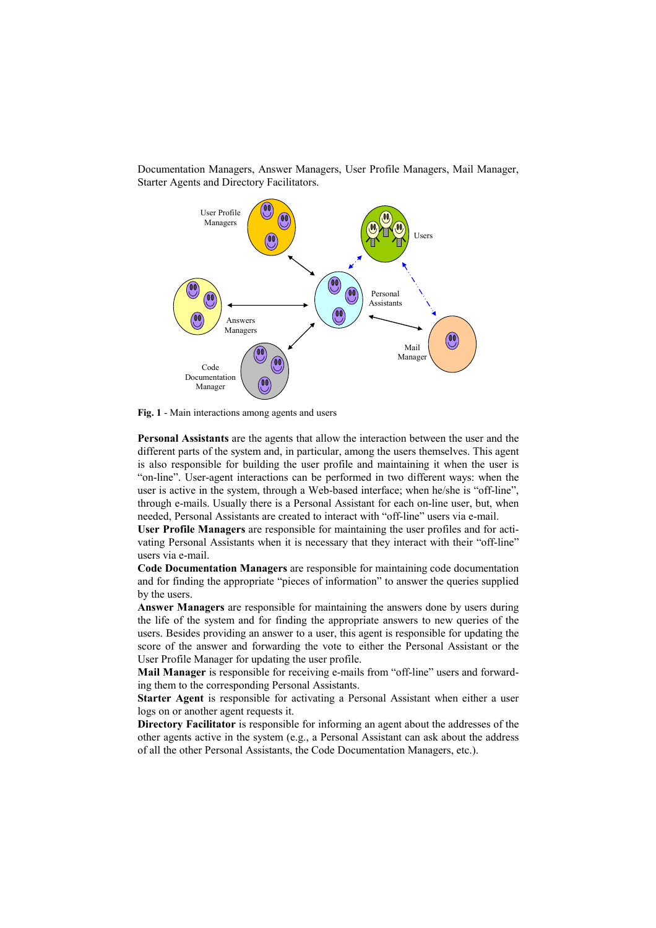<span id="page-3-0"></span>Documentation Managers, Answer Managers, User Profile Managers, Mail Manager, Starter Agents and Directory Facilitators.



**Fig. 1** - Main interactions among agents and users

**Personal Assistants** are the agents that allow the interaction between the user and the different parts of the system and, in particular, among the users themselves. This agent is also responsible for building the user profile and maintaining it when the user is "on-line". User-agent interactions can be performed in two different ways: when the user is active in the system, through a Web-based interface; when he/she is "off-line", through e-mails. Usually there is a Personal Assistant for each on-line user, but, when needed, Personal Assistants are created to interact with "off-line" users via e-mail.

**User Profile Managers** are responsible for maintaining the user profiles and for activating Personal Assistants when it is necessary that they interact with their "off-line" users via e-mail.

**Code Documentation Managers** are responsible for maintaining code documentation and for finding the appropriate "pieces of information" to answer the queries supplied by the users.

**Answer Managers** are responsible for maintaining the answers done by users during the life of the system and for finding the appropriate answers to new queries of the users. Besides providing an answer to a user, this agent is responsible for updating the score of the answer and forwarding the vote to either the Personal Assistant or the User Profile Manager for updating the user profile.

**Mail Manager** is responsible for receiving e-mails from "off-line" users and forwarding them to the corresponding Personal Assistants.

**Starter Agent** is responsible for activating a Personal Assistant when either a user logs on or another agent requests it.

**Directory Facilitator** is responsible for informing an agent about the addresses of the other agents active in the system (e.g., a Personal Assistant can ask about the address of all the other Personal Assistants, the Code Documentation Managers, etc.).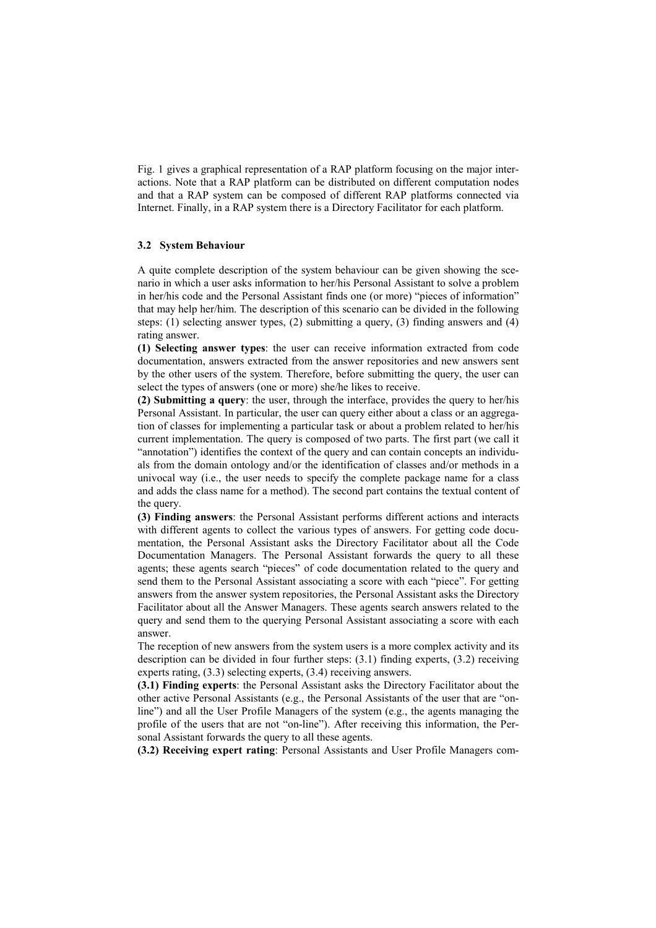[Fig. 1 g](#page-3-0)ives a graphical representation of a RAP platform focusing on the major interactions. Note that a RAP platform can be distributed on different computation nodes and that a RAP system can be composed of different RAP platforms connected via Internet. Finally, in a RAP system there is a Directory Facilitator for each platform.

### **3.2 System Behaviour**

A quite complete description of the system behaviour can be given showing the scenario in which a user asks information to her/his Personal Assistant to solve a problem in her/his code and the Personal Assistant finds one (or more) "pieces of information" that may help her/him. The description of this scenario can be divided in the following steps: (1) selecting answer types, (2) submitting a query, (3) finding answers and (4) rating answer.

**(1) Selecting answer types**: the user can receive information extracted from code documentation, answers extracted from the answer repositories and new answers sent by the other users of the system. Therefore, before submitting the query, the user can select the types of answers (one or more) she/he likes to receive.

**(2) Submitting a query**: the user, through the interface, provides the query to her/his Personal Assistant. In particular, the user can query either about a class or an aggregation of classes for implementing a particular task or about a problem related to her/his current implementation. The query is composed of two parts. The first part (we call it "annotation") identifies the context of the query and can contain concepts an individuals from the domain ontology and/or the identification of classes and/or methods in a univocal way (i.e., the user needs to specify the complete package name for a class and adds the class name for a method). The second part contains the textual content of the query.

**(3) Finding answers**: the Personal Assistant performs different actions and interacts with different agents to collect the various types of answers. For getting code documentation, the Personal Assistant asks the Directory Facilitator about all the Code Documentation Managers. The Personal Assistant forwards the query to all these agents; these agents search "pieces" of code documentation related to the query and send them to the Personal Assistant associating a score with each "piece". For getting answers from the answer system repositories, the Personal Assistant asks the Directory Facilitator about all the Answer Managers. These agents search answers related to the query and send them to the querying Personal Assistant associating a score with each answer.

The reception of new answers from the system users is a more complex activity and its description can be divided in four further steps:  $(3.1)$  finding experts,  $(3.2)$  receiving experts rating, (3.3) selecting experts, (3.4) receiving answers.

**(3.1) Finding experts**: the Personal Assistant asks the Directory Facilitator about the other active Personal Assistants (e.g., the Personal Assistants of the user that are "online") and all the User Profile Managers of the system (e.g., the agents managing the profile of the users that are not "on-line"). After receiving this information, the Personal Assistant forwards the query to all these agents.

**(3.2) Receiving expert rating**: Personal Assistants and User Profile Managers com-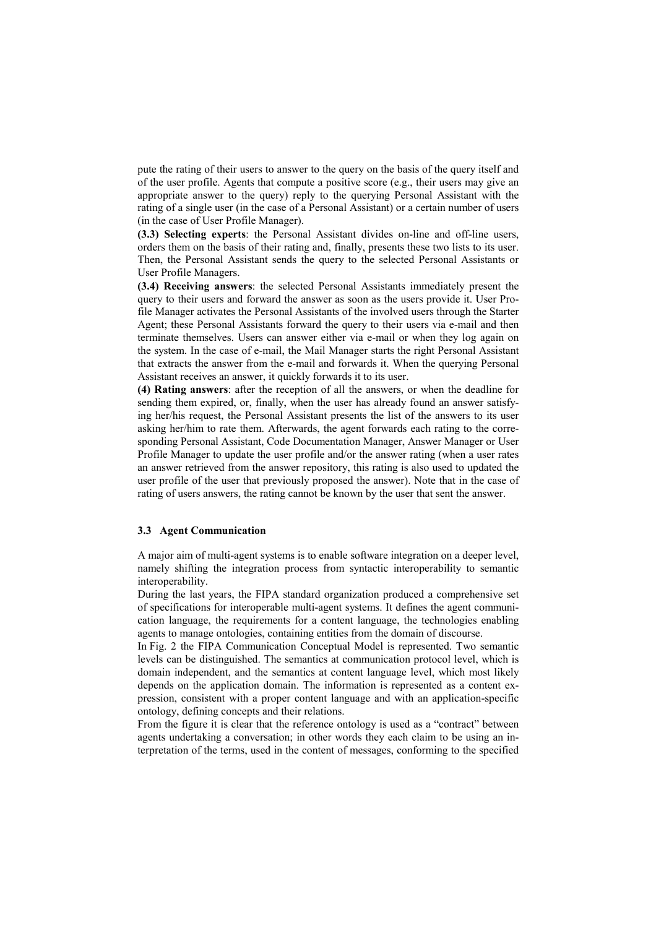pute the rating of their users to answer to the query on the basis of the query itself and of the user profile. Agents that compute a positive score (e.g., their users may give an appropriate answer to the query) reply to the querying Personal Assistant with the rating of a single user (in the case of a Personal Assistant) or a certain number of users (in the case of User Profile Manager).

**(3.3) Selecting experts**: the Personal Assistant divides on-line and off-line users, orders them on the basis of their rating and, finally, presents these two lists to its user. Then, the Personal Assistant sends the query to the selected Personal Assistants or User Profile Managers.

**(3.4) Receiving answers**: the selected Personal Assistants immediately present the query to their users and forward the answer as soon as the users provide it. User Profile Manager activates the Personal Assistants of the involved users through the Starter Agent; these Personal Assistants forward the query to their users via e-mail and then terminate themselves. Users can answer either via e-mail or when they log again on the system. In the case of e-mail, the Mail Manager starts the right Personal Assistant that extracts the answer from the e-mail and forwards it. When the querying Personal Assistant receives an answer, it quickly forwards it to its user.

**(4) Rating answers**: after the reception of all the answers, or when the deadline for sending them expired, or, finally, when the user has already found an answer satisfying her/his request, the Personal Assistant presents the list of the answers to its user asking her/him to rate them. Afterwards, the agent forwards each rating to the corresponding Personal Assistant, Code Documentation Manager, Answer Manager or User Profile Manager to update the user profile and/or the answer rating (when a user rates an answer retrieved from the answer repository, this rating is also used to updated the user profile of the user that previously proposed the answer). Note that in the case of rating of users answers, the rating cannot be known by the user that sent the answer.

#### **3.3 Agent Communication**

A major aim of multi-agent systems is to enable software integration on a deeper level, namely shifting the integration process from syntactic interoperability to semantic interoperability.

During the last years, the FIPA standard organization produced a comprehensive set of specifications for interoperable multi-agent systems. It defines the agent communication language, the requirements for a content language, the technologies enabling agents to manage ontologies, containing entities from the domain of discourse.

In Fig. 2 the FIPA Communication Conceptual Model is represented. Two semantic le[vels can](#page-6-0) be distinguished. The semantics at communication protocol level, which is domain independent, and the semantics at content language level, which most likely depends on the application domain. The information is represented as a content expression, consistent with a proper content language and with an application-specific ontology, defining concepts and their relations.

From the figure it is clear that the reference ontology is used as a "contract" between agents undertaking a conversation; in other words they each claim to be using an interpretation of the terms, used in the content of messages, conforming to the specified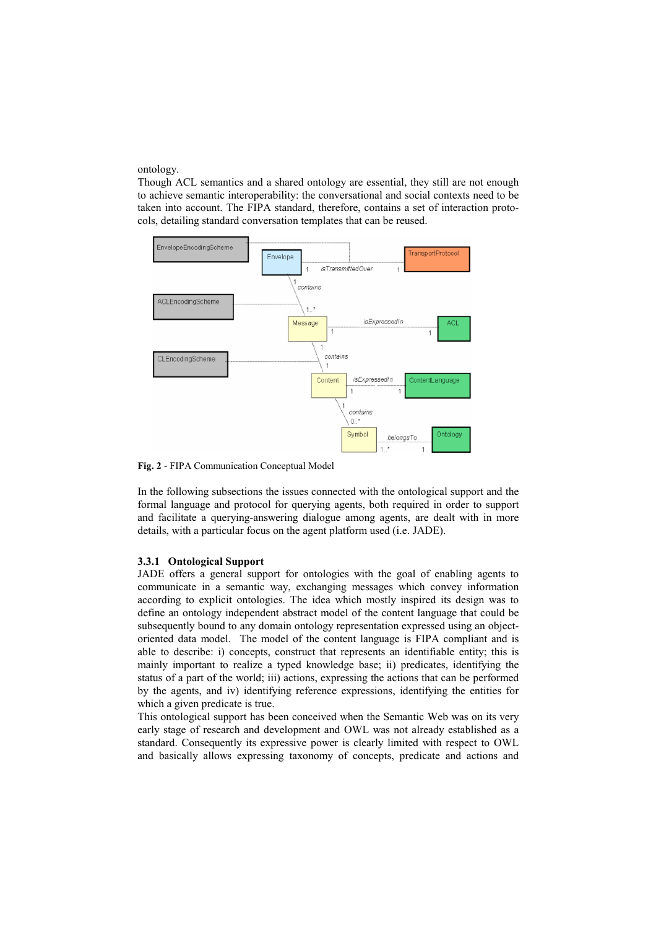<span id="page-6-0"></span>ontology.

Though ACL semantics and a shared ontology are essential, they still are not enough to achieve semantic interoperability: the conversational and social contexts need to be taken into account. The FIPA standard, therefore, contains a set of interaction protocols, detailing standard conversation templates that can be reused.



**Fig. 2** - FIPA Communication Conceptual Model

In the following subsections the issues connected with the ontological support and the formal language and protocol for querying agents, both required in order to support and facilitate a querying-answering dialogue among agents, are dealt with in more details, with a particular focus on the agent platform used (i.e. JADE).

### **3.3.1 Ontological Support**

JADE offers a general support for ontologies with the goal of enabling agents to communicate in a semantic way, exchanging messages which convey information according to explicit ontologies. The idea which mostly inspired its design was to define an ontology independent abstract model of the content language that could be subsequently bound to any domain ontology representation expressed using an objectoriented data model. The model of the content language is FIPA compliant and is able to describe: i) concepts, construct that represents an identifiable entity; this is mainly important to realize a typed knowledge base; ii) predicates, identifying the status of a part of the world; iii) actions, expressing the actions that can be performed by the agents, and iv) identifying reference expressions, identifying the entities for which a given predicate is true.

This ontological support has been conceived when the Semantic Web was on its very early stage of research and development and OWL was not already established as a standard. Consequently its expressive power is clearly limited with respect to OWL and basically allows expressing taxonomy of concepts, predicate and actions and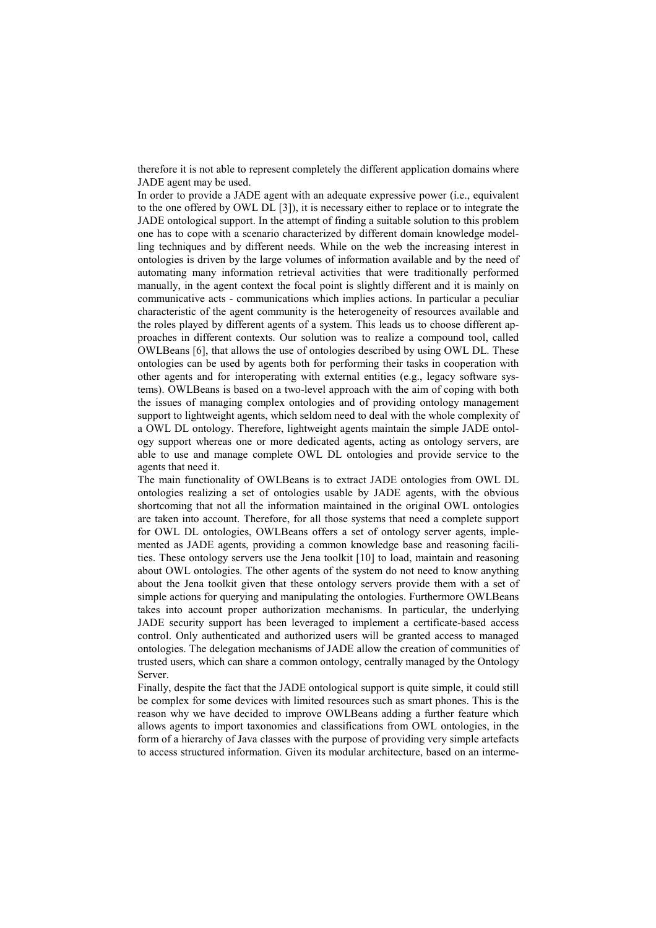therefore it is not able to represent completely the different application domains where JADE agent may be used.

In order to provide a JADE agent with an adequate expressive power  $(i.e.,$  equivalent to the one offered by OWL DL [3]), it is necessary either to replace or to integrate the JADE ontological support. In th[e a](#page-14-0)ttempt of finding a suitable solution to this problem one has to cope with a scenario characterized by different domain knowledge modelling techniques and by different needs. While on the web the increasing interest in ontologies is driven by the large volumes of information available and by the need of automating many information retrieval activities that were traditionally performed manually, in the agent context the focal point is slightly different and it is mainly on communicative acts - communications which implies actions. In particular a peculiar characteristic of the agent community is the heterogeneity of resources available and the roles played by different agents of a system. This leads us to choose different approaches in different contexts. Our solution was to realize a compound tool, called OWLBeans [6], that allows the use of ontologies described by using OWL DL. These ontologies c[an](#page-15-0) be used by agents both for performing their tasks in cooperation with other agents and for interoperating with external entities (e.g., legacy software systems). OWLBeans is based on a two-level approach with the aim of coping with both the issues of managing complex ontologies and of providing ontology management support to lightweight agents, which seldom need to deal with the whole complexity of a OWL DL ontology. Therefore, lightweight agents maintain the simple JADE ontology support whereas one or more dedicated agents, acting as ontology servers, are able to use and manage complete OWL DL ontologies and provide service to the agents that need it.

The main functionality of OWLBeans is to extract JADE ontologies from OWL DL ontologies realizing a set of ontologies usable by JADE agents, with the obvious shortcoming that not all the information maintained in the original OWL ontologies are taken into account. Therefore, for all those systems that need a complete support for OWL DL ontologies, OWLBeans offers a set of ontology server agents, implemented as JADE agents, providing a common knowledge base and reasoning facilities. These ontology servers use the Jena toolkit [10] to load, maintain and reasoning about OWL ontologies. The other agents of the sy[ste](#page-15-0)m do not need to know anything about the Jena toolkit given that these ontology servers provide them with a set of simple actions for querying and manipulating the ontologies. Furthermore OWLBeans takes into account proper authorization mechanisms. In particular, the underlying JADE security support has been leveraged to implement a certificate-based access control. Only authenticated and authorized users will be granted access to managed ontologies. The delegation mechanisms of JADE allow the creation of communities of trusted users, which can share a common ontology, centrally managed by the Ontology Server.

Finally, despite the fact that the JADE ontological support is quite simple, it could still be complex for some devices with limited resources such as smart phones. This is the reason why we have decided to improve OWLBeans adding a further feature which allows agents to import taxonomies and classifications from OWL ontologies, in the form of a hierarchy of Java classes with the purpose of providing very simple artefacts to access structured information. Given its modular architecture, based on an interme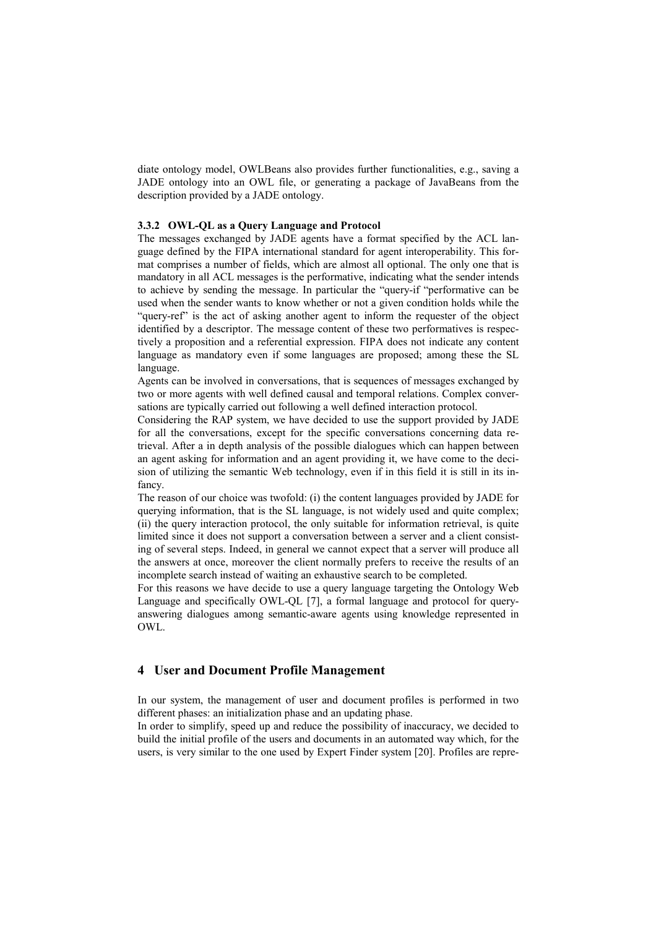diate ontology model, OWLBeans also provides further functionalities, e.g., saving a JADE ontology into an OWL file, or generating a package of JavaBeans from the description provided by a JADE ontology.

#### **3.3.2 OWL-QL as a Query Language and Protocol**

The messages exchanged by JADE agents have a format specified by the ACL language defined by the FIPA international standard for agent interoperability. This format comprises a number of fields, which are almost all optional. The only one that is mandatory in all ACL messages is the performative, indicating what the sender intends to achieve by sending the message. In particular the "query-if "performative can be used when the sender wants to know whether or not a given condition holds while the "query-ref" is the act of asking another agent to inform the requester of the object identified by a descriptor. The message content of these two performatives is respectively a proposition and a referential expression. FIPA does not indicate any content language as mandatory even if some languages are proposed; among these the SL language.

Agents can be involved in conversations, that is sequences of messages exchanged by two or more agents with well defined causal and temporal relations. Complex conversations are typically carried out following a well defined interaction protocol.

Considering the RAP system, we have decided to use the support provided by JADE for all the conversations, except for the specific conversations concerning data retrieval. After a in depth analysis of the possible dialogues which can happen between an agent asking for information and an agent providing it, we have come to the decision of utilizing the semantic Web technology, even if in this field it is still in its infancy.

The reason of our choice was twofold: (i) the content languages provided by JADE for querying information, that is the SL language, is not widely used and quite complex; (ii) the query interaction protocol, the only suitable for information retrieval, is quite limited since it does not support a conversation between a server and a client consisting of several steps. Indeed, in general we cannot expect that a server will produce all the answers at once, moreover the client normally prefers to receive the results of an incomplete search instead of waiting an exhaustive search to be completed.

For this reasons we have decide to use a query language targeting the Ontology Web Language and specifically OWL-QL [7], a formal language and protocol for queryanswering dialogues among semantic-[aw](#page-15-0)are agents using knowledge represented in OWL.

# **4 User and Document Profile Management**

In our system, the management of user and document profiles is performed in two different phases: an initialization phase and an updating phase.

In order to simplify, speed up and reduce the possibility of inaccuracy, we decided to build the initial profile of the users and documents in an automated way which, for the users, is very similar to the one used by Expert Finder system [20]. Profiles are repre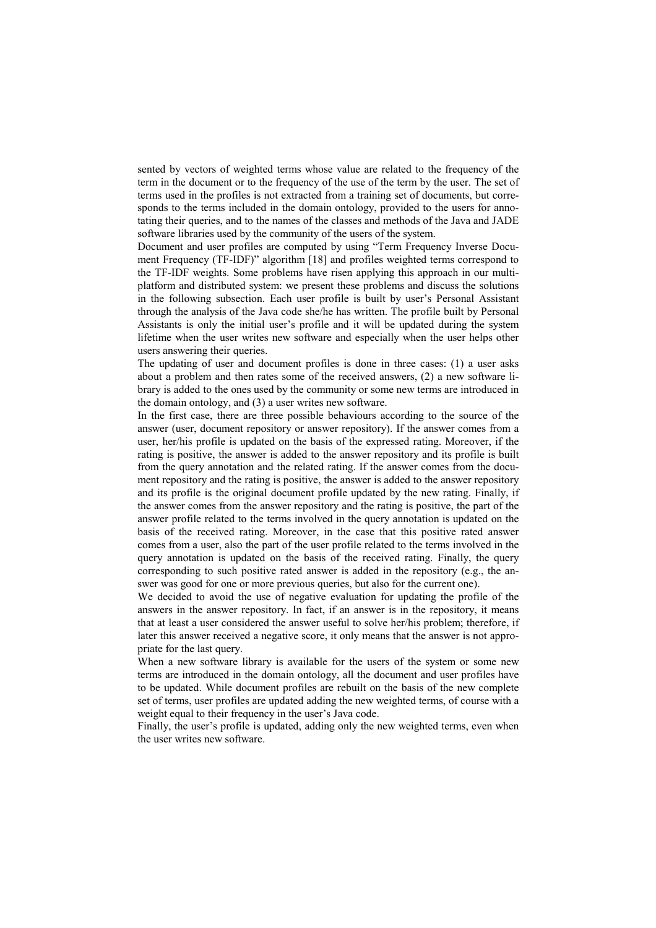sented by vectors of weighted terms whose value are related t[o t](#page-15-0)he frequency of the term in the document or to the frequency of the use of the term by the user. The set of terms used in the profiles is not extracted from a training set of documents, but corresponds to the terms included in the domain ontology, provided to the users for annotating their queries, and to the names of the classes and methods of the Java and JADE software libraries used by the community of the users of the system.

Document and user profiles are computed by using "Term Frequency Inverse Document Frequency (TF-IDF)" algorithm [18] and profiles weighted terms correspond to the TF-IDF weights. Some problems [have](#page-15-0) risen applying this approach in our multiplatform and distributed system: we present these problems and discuss the solutions in the following subsection. Each user profile is built by user's Personal Assistant through the analysis of the Java code she/he has written. The profile built by Personal Assistants is only the initial user's profile and it will be updated during the system lifetime when the user writes new software and especially when the user helps other users answering their queries.

The updating of user and document profiles is done in three cases: (1) a user asks about a problem and then rates some of the received answers, (2) a new software library is added to the ones used by the community or some new terms are introduced in the domain ontology, and (3) a user writes new software.

In the first case, there are three possible behaviours according to the source of the answer (user, document repository or answer repository). If the answer comes from a user, her/his profile is updated on the basis of the expressed rating. Moreover, if the rating is positive, the answer is added to the answer repository and its profile is built from the query annotation and the related rating. If the answer comes from the document repository and the rating is positive, the answer is added to the answer repository and its profile is the original document profile updated by the new rating. Finally, if the answer comes from the answer repository and the rating is positive, the part of the answer profile related to the terms involved in the query annotation is updated on the basis of the received rating. Moreover, in the case that this positive rated answer comes from a user, also the part of the user profile related to the terms involved in the query annotation is updated on the basis of the received rating. Finally, the query corresponding to such positive rated answer is added in the repository (e.g., the answer was good for one or more previous queries, but also for the current one).

We decided to avoid the use of negative evaluation for updating the profile of the answers in the answer repository. In fact, if an answer is in the repository, it means that at least a user considered the answer useful to solve her/his problem; therefore, if later this answer received a negative score, it only means that the answer is not appropriate for the last query.

When a new software library is available for the users of the system or some new terms are introduced in the domain ontology, all the document and user profiles have to be updated. While document profiles are rebuilt on the basis of the new complete set of terms, user profiles are updated adding the new weighted terms, of course with a weight equal to their frequency in the user's Java code.

Finally, the user's profile is updated, adding only the new weighted terms, even when the user writes new software.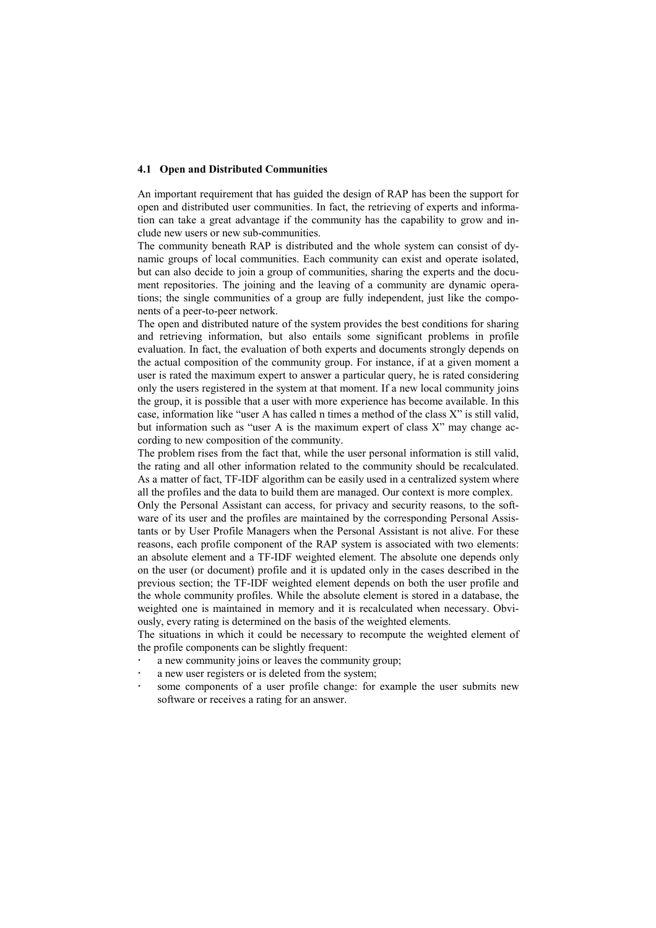#### **4.1 Open and Distributed Communities**

An important requirement that has guided the design of RAP has been the support for open and distributed user communities. In fact, the retrieving of experts and information can take a great advantage if the community has the capability to grow and include new users or new sub-communities.

The community beneath RAP is distributed and the whole system can consist of dynamic groups of local communities. Each community can exist and operate isolated, but can also decide to join a group of communities, sharing the experts and the document repositories. The joining and the leaving of a community are dynamic operations; the single communities of a group are fully independent, just like the components of a peer-to-peer network.

The open and distributed nature of the system provides the best conditions for sharing and retrieving information, but also entails some significant problems in profile evaluation. In fact, the evaluation of both experts and documents strongly depends on the actual composition of the community group. For instance, if at a given moment a user is rated the maximum expert to answer a particular query, he is rated considering only the users registered in the system at that moment. If a new local community joins the group, it is possible that a user with more experience has become available. In this case, information like "user A has called n times a method of the class X" is still valid, but information such as "user A is the maximum expert of class X" may change according to new composition of the community.

The problem rises from the fact that, while the user personal information is still valid, the rating and all other information related to the community should be recalculated. As a matter of fact, TF-IDF algorithm can be easily used in a centralized system where all the profiles and the data to build them are managed. Our context is more complex.

Only the Personal Assistant can access, for privacy and security reasons, to the software of its user and the profiles are maintained by the corresponding Personal Assistants or by User Profile Managers when the Personal Assistant is not alive. For these reasons, each profile component of the RAP system is associated with two elements: an absolute element and a TF-IDF weighted element. The absolute one depends only on the user (or document) profile and it is updated only in the cases described in the previous section; the TF-IDF weighted element depends on both the user profile and the whole community profiles. While the absolute element is stored in a database, the weighted one is maintained in memory and it is recalculated when necessary. Obviously, every rating is determined on the basis of the weighted elements.

The situations in which it could be necessary to recompute the weighted element of the profile components can be slightly frequent:

- a new community joins or leaves the community group;
- a new user registers or is deleted from the system;
- some components of a user profile change: for example the user submits new software or receives a rating for an answer.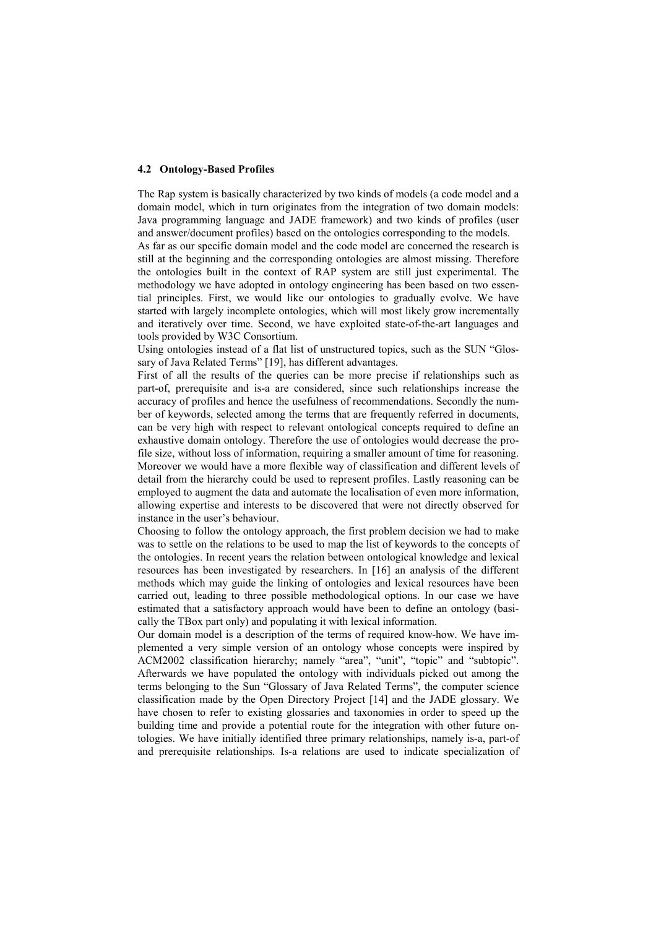#### **4.2 Ontology-Based Profiles**

The Rap system is basically characterized by two kinds of models (a code model and a domain model, which in turn originates from the integration of two domain models: Java programming language and JADE framework) and two kinds of profiles (user and answer/document profiles) based on the ontologies corresponding to the models.

As far as our specific domain model and the code model are concerned the research is still at the beginning and the corresponding ontologies are almost missing. Therefore the ontologies built in the context of RAP system are still just experimental. The methodology we have adopted in ontology engineering has been based on two essential principles. First, we would like our ontologies to gradually evolve. We have started with largely incomplete ontologies, which will most likely grow incrementally and iteratively over time. Second, we have exploited state-of-the-art languages and tools provided by W3C Consortium.

Using ontologies instead of a flat list of unstructured topics, such as the SUN "Glos-sary of Java Related Terms" [[19\]](#page-15-0), has different advantages.

First of all the results of the queries can be more precise if relationships such as part-of, prerequisite and is-a are considered, since such relationships increase the accuracy of profiles and hence the usefulness of recommendations. Secondly the number of keywords, selected among the terms that are frequently referred in documents, can be very high with respect to relevant ontological concepts required to define an exhaustive domain ontology. Therefore the use of ontologies would decrease the profile size, without loss of information, requiring a smaller amount of time for reasoning. Moreover we would have a more flexible way of classification and different levels of detail from the hierarchy could be used to represent profiles. Lastly reasoning can be employed to augment the data and automate the localisation of even more information, allowing expertise and interests to be discovered that were not directly observed for instance in the user's behaviour.

Choosing to follow the ontology approach, the first problem decision we had to make was to settle on the relations to be used to map the list of keywords to the concepts of the ontologies. In recent years the relation between ontological knowledge and lexical resources has been investigated by researchers. In [\[16\]](#page-15-0) an analysis of the different methods which may guide the linking of ontologies and lexical resources have been carried out, leading to three possible methodological options. In our case we have estimated that a satisfactory approach would have been to define an ontology (basically the TBox part only) and populating it with lexical information.

Our domain model is a description of the terms of required know-how. We have implemented a very simple version of an ontology whose concepts were inspired by ACM2002 classification hierarchy; namely "area", "unit", "topic" and "subtopic". Afterwards we have populated the ontology with individuals picked out among the terms belonging to the Sun "Glossary of Java Related Terms", the computer science classification made by the Open Directory Project [\[14](#page-15-0)] and the JADE glossary. We have chosen to refer to existing glossaries and taxonomies in order to speed up the building time and provide a potential route for the integration with other future ontologies. We have initially identified three primary relationships, namely is-a, part-of and prerequisite relationships. Is-a relations are used to indicate specialization of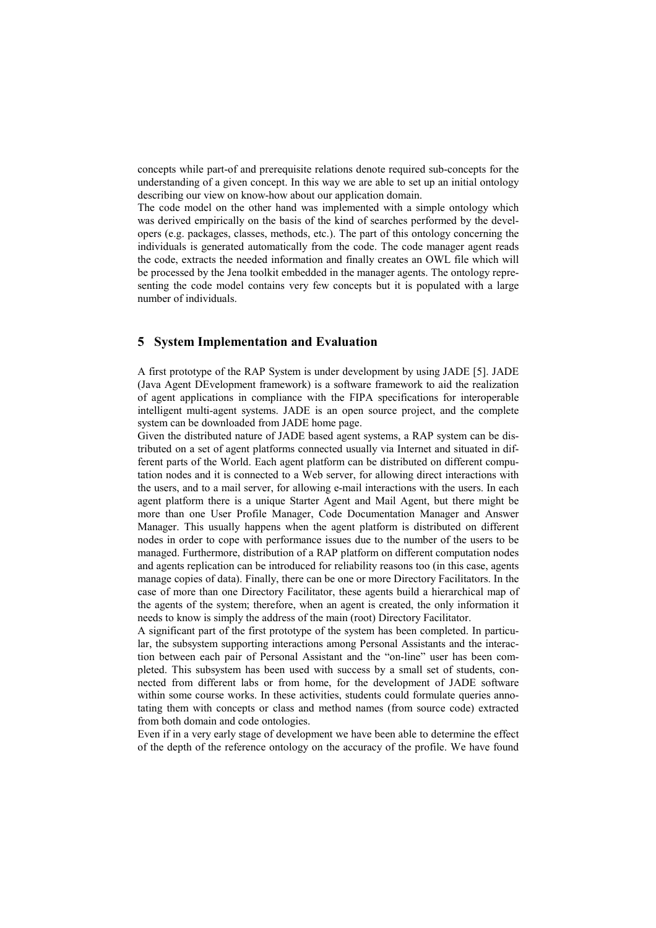concepts while part-of and prerequisite relations denote required sub-concepts for the understanding of a given concept. In this way we are able to set up an initial ontology describing our view on know-how about our application domain.

The code model on the other hand was implemented with a simple ontology which was derived empirically on the basis of the kind of searches performed by the developers (e.g. packages, classes, methods, etc.). The part of this ontology concerning the individuals is generated automatically from the code. The code manager agent reads the code, extracts the needed information and finally creates an OWL file which will be processed by the Jena toolkit embedded in the manager agents. The ontology representing the code model contains very few concepts but it is populated with a large number of individuals.

# **5 System Implementation and Evaluation**

A first prototype of the RAP System is under development by using JADE [\[5\]](#page-14-0). JADE (Java Agent DEvelopment framework) is a software framework to aid the realization of agent applications in compliance with the FIPA specifications for interoperable intelligent multi-agent systems. JADE is an open source project, and the complete system can be downloaded from JADE home page.

Given the distributed nature of JADE based agent systems, a RAP system can be distributed on a set of agent platforms connected usually via Internet and situated in different parts of the World. Each agent platform can be distributed on different computation nodes and it is connected to a Web server, for allowing direct interactions with the users, and to a mail server, for allowing e-mail interactions with the users. In each agent platform there is a unique Starter Agent and Mail Agent, but there might be more than one User Profile Manager, Code Documentation Manager and Answer Manager. This usually happens when the agent platform is distributed on different nodes in order to cope with performance issues due to the number of the users to be managed. Furthermore, distribution of a RAP platform on different computation nodes and agents replication can be introduced for reliability reasons too (in this case, agents manage copies of data). Finally, there can be one or more Directory Facilitators. In the case of more than one Directory Facilitator, these agents build a hierarchical map of the agents of the system; therefore, when an agent is created, the only information it needs to know is simply the address of the main (root) Directory Facilitator.

A significant part of the first prototype of the system has been completed. In particular, the subsystem supporting interactions among Personal Assistants and the interaction between each pair of Personal Assistant and the "on-line" user has been completed. This subsystem has been used with success by a small set of students, connected from different labs or from home, for the development of JADE software within some course works. In these activities, students could formulate queries annotating them with concepts or class and method names (from source code) extracted from both domain and code ontologies.

Even if in a very early stage of development we have been able to determine the effect of the depth of the reference ontology on the accuracy of the profile. We have found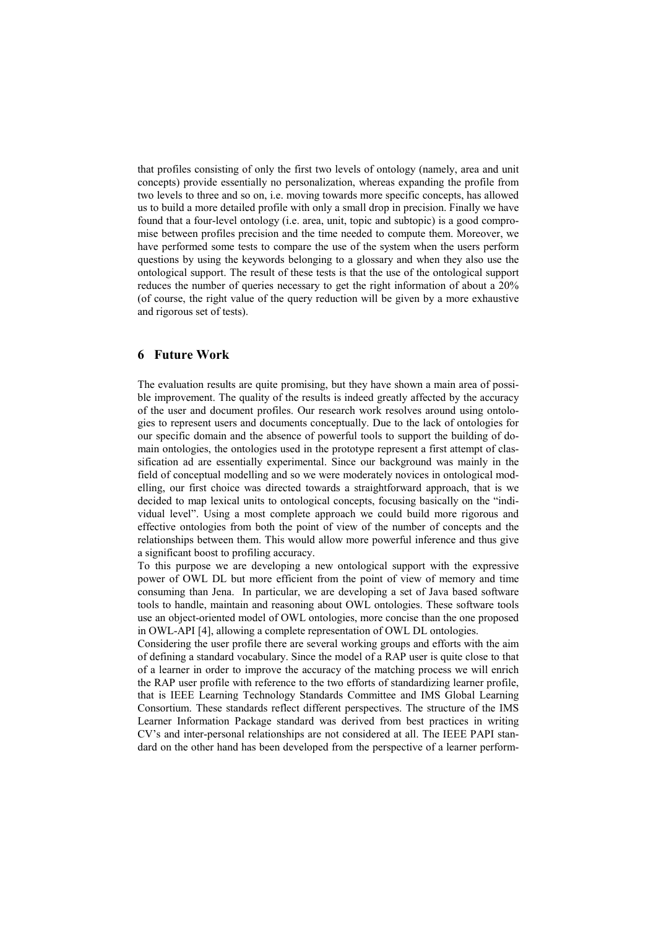that profiles consisting of only the first two levels of ontology (namely, area and unit concepts) provide essentially no personalization, whereas expanding the profile from two levels to three and so on, i.e. moving towards more specific concepts, has allowed us to build a more detailed profile with only a small drop in precision. Finally we have found that a four-level ontology (i.e. area, unit, topic and subtopic) is a good compromise between profiles precision and the time needed to compute them. Moreover, we have performed some tests to compare the use of the system when the users perform questions by using the keywords belonging to a glossary and when they also use the ontological support. The result of these tests is that the use of the ontological support reduces the number of queries necessary to get the right information of about a 20% (of course, the right value of the query reduction will be given by a more exhaustive and rigorous set of tests).

# **6 Future Work**

The evaluation results are quite promising, but they have shown a main area of possible improvement. The quality of the results is indeed greatly affected by the accuracy of the user and document profiles. Our research work resolves around using ontologies to represent users and documents conceptually. Due to the lack of ontologies for our specific domain and the absence of powerful tools to support the building of domain ontologies, the ontologies used in the prototype represent a first attempt of classification ad are essentially experimental. Since our background was mainly in the field of conceptual modelling and so we were moderately novices in ontological modelling, our first choice was directed towards a straightforward approach, that is we decided to map lexical units to ontological concepts, focusing basically on the "individual level". Using a most complete approach we could build more rigorous and effective ontologies from both the point of view of the number of concepts and the relationships between them. This would allow more powerful inference and thus give a significant boost to profiling accuracy.

To this purpose we are developing a new ontological support with the expressive power of OWL DL but more efficient from the point of view of memory and time consuming than Jena. In particular, we are developing a set of Java based software tools to handle, maintain and reasoning about OWL ontologies. These software tools use an object-oriented model of OWL ontologies, more concise than the one proposed in OWL-API [\[4\]](#page-14-0), allowing a complete representation of OWL DL ontologies.

Considering the user profile there are several working groups and efforts with the aim of defining a standard vocabulary. Since the model of a RAP user is quite close to that of a learner in order to improve the accuracy of the matching process we will enrich the RAP user profile with reference to the two efforts of standardizing learner profile, that is IEEE Learning Technology Standards Committee and IMS Global Learning Consortium. These standards reflect different perspectives. The structure of the IMS Learner Information Package standard was derived from best practices in writing CV's and inter-personal relationships are not considered at all. The IEEE PAPI standard on the other hand has been developed from the perspective of a learner perform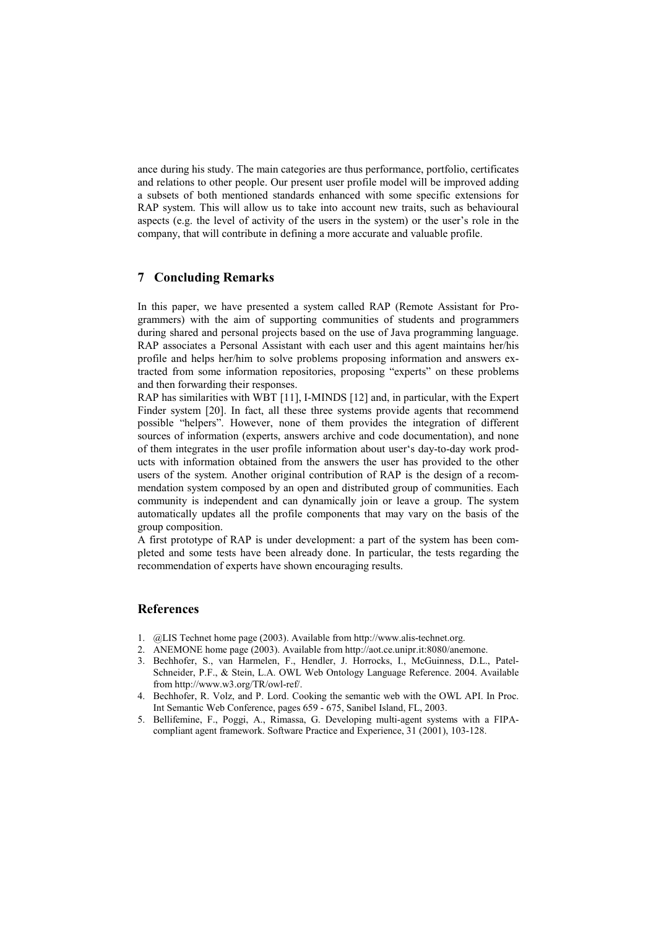<span id="page-14-0"></span>ance during his study. The main categories are thus performance, portfolio, certificates and relations to other people. Our present user profile model will be improved adding a subsets of both mentioned standards enhanced with some specific extensions for RAP system. This will allow us to take into account new traits, such as behavioural aspects (e.g. the level of activity of the users in the system) or the user's role in the company, that will contribute in defining a more accurate and valuable profile.

## **7 Concluding Remarks**

In this paper, we have presented a system called RAP (Remote Assistant for Programmers) with the aim of supporting communities of students and programmers during shared and personal projects based on the use of Java programming language. RAP associates a Personal Assistant with each user and this agent maintains her/his profile and helps her/him to solve problems proposing information and answers extracted from some information repositories, proposing "experts" on these problems and then forwarding their responses.

RAP has similarities with WBT [\[11\]](#page-15-0), I-MINDS [\[12\]](#page-15-0) and, in particular, with the Expert Finder system [[20\]](#page-15-0). In fact, all these three systems provide agents that recommend possible "helpers". However, none of them provides the integration of different sources of information (experts, answers archive and code documentation), and none of them integrates in the user profile information about user's day-to-day work products with information obtained from the answers the user has provided to the other users of the system. Another original contribution of RAP is the design of a recommendation system composed by an open and distributed group of communities. Each community is independent and can dynamically join or leave a group. The system automatically updates all the profile components that may vary on the basis of the group composition.

A first prototype of RAP is under development: a part of the system has been completed and some tests have been already done. In particular, the tests regarding the recommendation of experts have shown encouraging results.

### **References**

- 1. @LIS Technet home page (2003). Available from http://www.alis-technet.org.
- 2. ANEMONE home page (2003). Available from http://aot.ce.unipr.it:8080/anemone.
- 3. Bechhofer, S., van Harmelen, F., Hendler, J. Horrocks, I., McGuinness, D.L., Patel-Schneider, P.F., & Stein, L.A. OWL Web Ontology Language Reference. 2004. Available from http://www.w3.org/TR/owl-ref/.
- 4. Bechhofer, R. Volz, and P. Lord. Cooking the semantic web with the OWL API. In Proc. Int Semantic Web Conference, pages 659 - 675, Sanibel Island, FL, 2003.
- 5. Bellifemine, F., Poggi, A., Rimassa, G. Developing multi-agent systems with a FIPAcompliant agent framework. Software Practice and Experience, 31 (2001), 103-128.